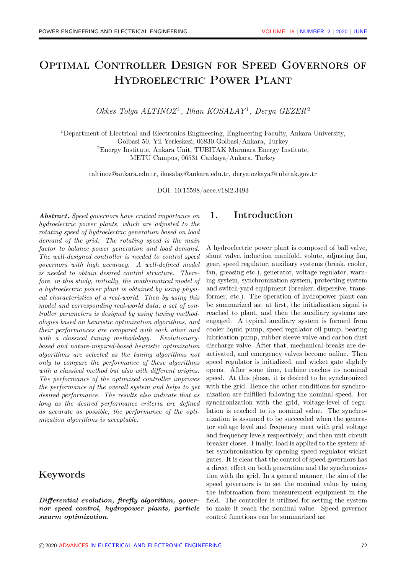# Optimal Controller Design for Speed Governors of Hydroelectric Power Plant

Okkes Tolga ALTINOZ<sup>1</sup>, Ilhan KOSALAY<sup>1</sup>, Derya GEZER<sup>2</sup>

<sup>1</sup>Department of Electrical and Electronics Engineering, Engineering Faculty, Ankara University,

Golbasi 50, Yil Yerleskesi, 06830 Golbasi/Ankara, Turkey

<sup>2</sup>Energy Institute, Ankara Unit, TUBITAK Marmara Energy Institute,

METU Campus, 06531 Cankaya/Ankara, Turkey

taltinoz@ankara.edu.tr, ikosalay@ankara.edu.tr, derya.ozkaya@tubitak.gov.tr

DOI: 10.15598/aeee.v18i2.3493

Abstract. Speed governors have critical importance on hydroelectric power plants, which are adjusted to the rotating speed of hydroelectric generation based on load demand of the grid. The rotating speed is the main factor to balance power generation and load demand. The well-designed controller is needed to control speed governors with high accuracy. A well-defined model is needed to obtain desired control structure. Therefore, in this study, initially, the mathematical model of a hydroelectric power plant is obtained by using physical characteristics of a real-world. Then by using this model and corresponding real-world data, a set of controller parameters is designed by using tuning methodologies based on heuristic optimization algorithms, and their performances are compared with each other and with a classical tuning methodology. Evolutionarybased and nature-inspired-based heuristic optimization algorithms are selected as the tuning algorithms not only to compare the performance of these algorithms with a classical method but also with different origins. The performance of the optimized controller improves the performance of the overall system and helps to get desired performance. The results also indicate that as long as the desired performance criteria are defined as accurate as possible, the performance of the optimization algorithms is acceptable.

## Keywords

Differential evolution, firefly algorithm, governor speed control, hydropower plants, particle swarm optimization.

## 1. Introduction

A hydroelectric power plant is composed of ball valve, shunt valve, induction manifold, volute, adjusting fan, gear, speed regulator, auxiliary systems (break, cooler, fan, greasing etc.), generator, voltage regulator, warning system, synchronization system, protecting system and switch-yard equipment (breaker, dispersive, transformer, etc.). The operation of hydropower plant can be summarized as: at first, the initialization signal is reached to plant, and then the auxiliary systems are engaged. A typical auxiliary system is formed from cooler liquid pump, speed regulator oil pump, bearing lubrication pump, rubber sleeve valve and carbon dust discharge valve. After that, mechanical breaks are deactivated, and emergency valves become online. Then speed regulator is initialized, and wicket gate slightly opens. After some time, turbine reaches its nominal speed. At this phase, it is desired to be synchronized with the grid. Hence the other conditions for synchronization are fulfilled following the nominal speed. For synchronization with the grid, voltage-level of regulation is reached to its nominal value. The synchronization is assumed to be succeeded when the generator voltage level and frequency meet with grid voltage and frequency levels respectively; and then unit circuit breaker closes. Finally; load is applied to the system after synchronization by opening speed regulator wicket gates. It is clear that the control of speed governors has a direct effect on both generation and the synchronization with the grid. In a general manner, the aim of the speed governors is to set the nominal value by using the information from measurement equipment in the field. The controller is utilized for setting the system to make it reach the nominal value. Speed governor control functions can be summarized as: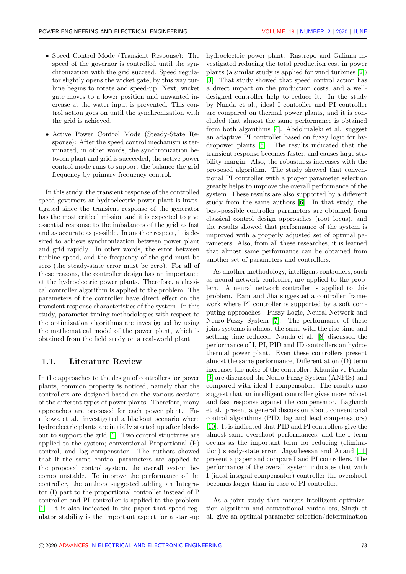- Speed Control Mode (Transient Response): The speed of the governor is controlled until the synchronization with the grid succeed. Speed regulator slightly opens the wicket gate, by this way turbine begins to rotate and speed-up. Next, wicket gate moves to a lower position and unwanted increase at the water input is prevented. This control action goes on until the synchronization with the grid is achieved.
- Active Power Control Mode (Steady-State Response): After the speed control mechanism is terminated, in other words, the synchronization between plant and grid is succeeded, the active power control mode runs to support the balance the grid frequency by primary frequency control.

In this study, the transient response of the controlled speed governors at hydroelectric power plant is investigated since the transient response of the generator has the most critical mission and it is expected to give essential response to the imbalances of the grid as fast and as accurate as possible. In another respect, it is desired to achieve synchronization between power plant and grid rapidly. In other words, the error between turbine speed, and the frequency of the grid must be zero (the steady-state error must be zero). For all of these reasons, the controller design has an importance at the hydroelectric power plants. Therefore, a classical controller algorithm is applied to the problem. The parameters of the controller have direct effect on the transient response characteristics of the system. In this study, parameter tuning methodologies with respect to the optimization algorithms are investigated by using the mathematical model of the power plant, which is obtained from the field study on a real-world plant.

#### <span id="page-1-0"></span>1.1. Literature Review

In the approaches to the design of controllers for power plants, common property is noticed, namely that the controllers are designed based on the various sections of the different types of power plants. Therefore, many approaches are proposed for each power plant. Furukowa et al. investigated a blackout scenario where hydroelectric plants are initially started up after blackout to support the grid [\[1\]](#page-9-0). Two control structures are applied to the system; conventional Proportional (P) control, and lag compensator. The authors showed that if the same control parameters are applied to the proposed control system, the overall system becomes unstable. To improve the performance of the controller, the authors suggested adding an Integrator (I) part to the proportional controller instead of P controller and PI controller is applied to the problem [\[1\]](#page-9-0). It is also indicated in the paper that speed regulator stability is the important aspect for a start-up

hydroelectric power plant. Rastrepo and Galiana investigated reducing the total production cost in power plants (a similar study is applied for wind turbines [\[2\]](#page-9-1)) [\[3\]](#page-9-2). That study showed that speed control action has a direct impact on the production costs, and a welldesigned controller help to reduce it. In the study by Nanda et al., ideal I controller and PI controller are compared on thermal power plants, and it is concluded that almost the same performance is obtained from both algorithms [\[4\]](#page-9-3). Abdolmaleki et al. suggest an adaptive PI controller based on fuzzy logic for hydropower plants [\[5\]](#page-9-4). The results indicated that the transient response becomes faster, and causes large stability margin. Also, the robustness increases with the proposed algorithm. The study showed that conventional PI controller with a proper parameter selection greatly helps to improve the overall performance of the system. These results are also supported by a different study from the same authors [\[6\]](#page-9-5). In that study, the best-possible controller parameters are obtained from classical control design approaches (root locus), and the results showed that performance of the system is improved with a properly adjusted set of optimal parameters. Also, from all these researches, it is learned that almost same performance can be obtained from another set of parameters and controllers.

As another methodology, intelligent controllers, such as neural network controller, are applied to the problem. A neural network controller is applied to this problem. Ram and Jha suggested a controller framework where PI controller is supported by a soft computing approaches - Fuzzy Logic, Neural Network and Neuro-Fuzzy System [\[7\]](#page-9-6). The performance of these joint systems is almost the same with the rise time and settling time reduced. Nanda et al. [\[8\]](#page-9-7) discussed the performance of I, PI, PID and ID controllers on hydrothermal power plant. Even these controllers present almost the same performance, Differentiation (D) term increases the noise of the controller. Khuntia ve Panda [\[9\]](#page-9-8) are discussed the Neuro-Fuzzy System (ANFIS) and compared with ideal I compensator. The results also suggest that an intelligent controller gives more robust and fast response against the compensator. Laghardi et al. present a general discussion about conventional control algorithms (PID, lag and lead compensators) [\[10\]](#page-9-9). It is indicated that PID and PI controllers give the almost same overshoot performances, and the I term occurs as the important term for reducing (elimination) steady-state error. Jagatheesan and Anand [\[11\]](#page-9-10) present a paper and compare I and PI controllers. The performance of the overall system indicates that with I (ideal integral compensator) controller the overshoot becomes larger than in case of PI controller.

As a joint study that merges intelligent optimization algorithm and conventional controllers, Singh et al. give an optimal parameter selection/determination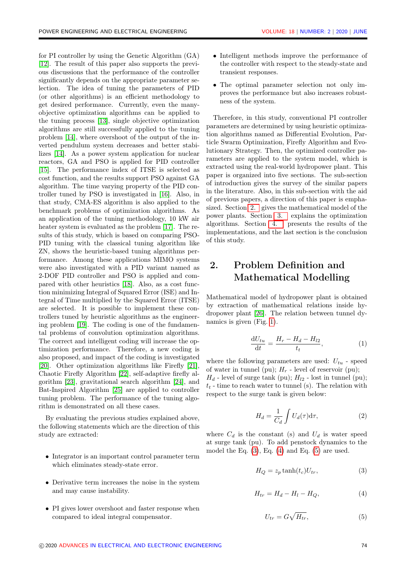for PI controller by using the Genetic Algorithm (GA) [\[12\]](#page-9-11). The result of this paper also supports the previous discussions that the performance of the controller significantly depends on the appropriate parameter selection. The idea of tuning the parameters of PID (or other algorithms) is an efficient methodology to get desired performance. Currently, even the manyobjective optimization algorithms can be applied to the tuning process [\[13\]](#page-9-12), single objective optimization algorithms are still successfully applied to the tuning problem [\[14\]](#page-9-13), where overshoot of the output of the inverted pendulum system decreases and better stabilizes [\[14\]](#page-9-13). As a power system application for nuclear reactors, GA and PSO is applied for PID controller [\[15\]](#page-9-14). The performance index of ITSE is selected as cost function, and the results support PSO against GA algorithm. The time varying property of the PID controller tuned by PSO is investigated in [\[16\]](#page-10-0). Also, in that study, CMA-ES algorithm is also applied to the benchmark problems of optimization algorithms. As an application of the tuning methodology, 10 kW air heater system is evaluated as the problem [\[17\]](#page-10-1). The results of this study, which is based on comparing PSO-PID tuning with the classical tuning algorithm like ZN, shows the heuristic-based tuning algorithms performance. Among these applications MIMO systems were also investigated with a PID variant named as 2-DOF PID controller and PSO is applied and compared with other heuristics [\[18\]](#page-10-2). Also, as a cost function minimizing Integral of Squared Error (ISE) and Integral of Time multiplied by the Squared Error (ITSE) are selected. It is possible to implement these controllers tuned by heuristic algorithms as the engineering problem [\[19\]](#page-10-3). The coding is one of the fundamental problems of convolution optimization algorithms. The correct and intelligent coding will increase the optimization performance. Therefore, a new coding is also proposed, and impact of the coding is investigated [\[20\]](#page-10-4). Other optimization algorithms like Firefly [\[21\]](#page-10-5), Chaotic Firefly Algorithm [\[22\]](#page-10-6), self-adaptive firefly algorithm [\[23\]](#page-10-7), gravitational search algorithm [\[24\]](#page-10-8), and Bat-Inspired Algorithm [\[25\]](#page-10-9) are applied to controller tuning problem. The performance of the tuning algorithm is demonstrated on all these cases.

By evaluating the previous studies explained above, the following statements which are the direction of this study are extracted:

- Integrator is an important control parameter term which eliminates steady-state error.
- Derivative term increases the noise in the system and may cause instability.
- PI gives lower overshoot and faster response when compared to ideal integral compensator.
- Intelligent methods improve the performance of the controller with respect to the steady-state and transient responses.
- The optimal parameter selection not only improves the performance but also increases robustness of the system.

Therefore, in this study, conventional PI controller parameters are determined by using heuristic optimization algorithms named as Differential Evolution, Particle Swarm Optimization, Firefly Algorithm and Evolutionary Strategy. Then, the optimized controller parameters are applied to the system model, which is extracted using the real-world hydropower plant. This paper is organized into five sections. The sub-section of introduction gives the survey of the similar papers in the literature. Also, in this sub-section with the aid of previous papers, a direction of this paper is emphasized. Section [2.](#page-2-0) gives the mathematical model of the power plants. Section [3.](#page-4-0) explains the optimization algorithms. Section [4.](#page-7-0) presents the results of the implementations, and the last section is the conclusion of this study.

## <span id="page-2-0"></span>2. Problem Definition and Mathematical Modelling

Mathematical model of hydropower plant is obtained by extraction of mathematical relations inside hydropower plant [\[26\]](#page-10-10). The relation between tunnel dynamics is given (Fig. [1\)](#page-3-0).

$$
\frac{\mathrm{d}U_{tu}}{\mathrm{d}t} = \frac{H_r - H_d - H_{l2}}{t_t},\tag{1}
$$

where the following parameters are used:  $U_{tu}$  - speed of water in tunnel (pu);  $H_r$  - level of reservoir (pu);  $H_d$  - level of surge tank (pu);  $H_{l2}$  - lost in tunnel (pu);  $t_t$  - time to reach water to tunnel (s). The relation with respect to the surge tank is given below:

$$
H_d = \frac{1}{C_d} \int U_d(\tau) d\tau,
$$
\n(2)

where  $C_d$  is the constant (s) and  $U_d$  is water speed at surge tank (pu). To add penstock dynamics to the model the Eq.  $(3)$ , Eq.  $(4)$  and Eq.  $(5)$  are used.

<span id="page-2-1"></span>
$$
H_Q = z_p \tanh(t_c) U_{tr},\tag{3}
$$

<span id="page-2-2"></span>
$$
H_{tr} = H_d - H_l - H_Q,\t\t(4)
$$

<span id="page-2-3"></span>
$$
U_{tr} = G\sqrt{H_{tr}},\tag{5}
$$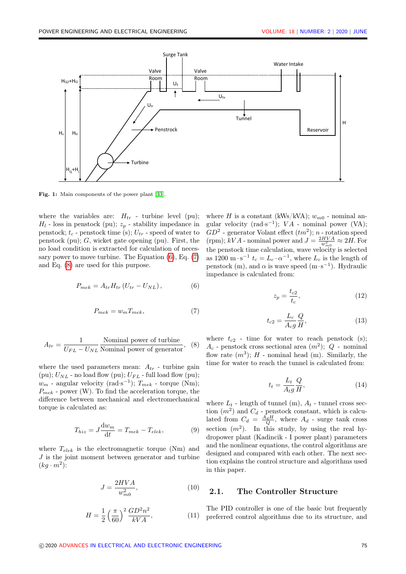<span id="page-3-0"></span>

Fig. 1: Main components of the power plant [\[33\]](#page-11-0).

where the variables are:  $H_{tr}$  - turbine level (pu);  $H_l$  - loss in penstock (pu);  $z_p$  - stability impedance in penstock;  $t_c$  - penstock time (s);  $U_{tr}$  - speed of water to penstock (pu);  $G$ , wicket gate opening (pu). First, the no load condition is extracted for calculation of necessary power to move turbine. The Equation  $(6)$ , Eq.  $(7)$ and Eq. [\(8\)](#page-3-3) are used for this purpose.

<span id="page-3-1"></span>
$$
P_{mek} = A_{tr} H_{tr} \left( U_{tr} - U_{NL} \right), \tag{6}
$$

<span id="page-3-2"></span>
$$
P_{mek} = w_m T_{mek},\tag{7}
$$

<span id="page-3-3"></span>
$$
A_{tr} = \frac{1}{U_{FL} - U_{NL}}
$$
 Nominal power of turbine  
generator, (8)

where the used parameters mean:  $A_{tr}$  - turbine gain (pu);  $U_{NL}$  - no load flow (pu);  $U_{FL}$  - full load flow (pu);  $w_m$  - angular velocity (rad·s<sup>-1</sup>);  $T_{mek}$  - torque (Nm);  $P_{mek}$  - power (W). To find the acceleration torque, the difference between mechanical and electromechanical torque is calculated as:

$$
T_{hiz} = J\frac{\mathrm{d}w_m}{\mathrm{d}t} = T_{mek} - T_{elek},\tag{9}
$$

where  $T_{elek}$  is the electromagnetic torque (Nm) and J is the joint moment between generator and turbine  $(kg \cdot m^2)$ :

$$
J = \frac{2HVA}{w_{m0}^2},\tag{10}
$$

$$
H = \frac{1}{2} \left(\frac{\pi}{60}\right)^2 \frac{GD^2 n^2}{kVA},
$$
 (11)

where H is a constant (kWs/kVA);  $w_{m0}$  - nominal angular velocity  $(\text{rad}\cdot\text{s}^{-1})$ ;  $VA$  - nominal power (VA);  $GD^2$  - generator Volant effect  $(tm^2)$ ; n - rotation speed (rpm);  $kVA$  - nominal power and  $J = \frac{2HVA}{w_{m0}^2} \approx 2H$ . For the penstock time calculation, wave velocity is selected as 1200 m · s<sup>-1</sup>  $t_c = L_c \cdot \alpha^{-1}$ , where  $L_c$  is the length of penstock (m), and  $\alpha$  is wave speed (m·s<sup>-1</sup>). Hydraulic impedance is calculated from:

$$
z_p = \frac{t_{c2}}{t_c},\tag{12}
$$

$$
t_{c2} = \frac{L_c}{A_{cg}} \frac{Q}{H},\tag{13}
$$

where  $t_{c2}$  - time for water to reach penstock (s);  $A_c$  - penstock cross sectional area  $(m^2)$ ;  $Q$  - nominal flow rate  $(m^3)$ ;  $H$  - nominal head (m). Similarly, the time for water to reach the tunnel is calculated from:

$$
t_t = \frac{L_t}{A_t g} \frac{Q}{H},\tag{14}
$$

where  $L_t$  - length of tunnel (m),  $A_t$  - tunnel cross section  $(m^2)$  and  $C_d$  - penstock constant, which is calculated from  $C_d = \frac{A_d H}{Q}$ , where  $A_d$  - surge tank cross section  $(m^2)$ . In this study, by using the real hydropower plant (Kadincik - I power plant) parameters and the nonlinear equations, the control algorithms are designed and compared with each other. The next section explains the control structure and algorithms used in this paper.

#### 2.1. The Controller Structure

The PID controller is one of the basic but frequently preferred control algorithms due to its structure, and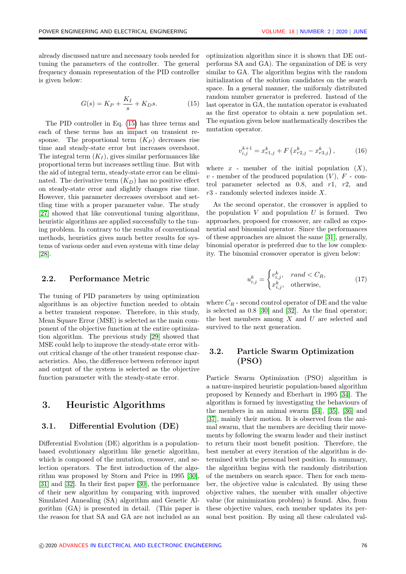already discussed nature and necessary tools needed for tuning the parameters of the controller. The general frequency domain representation of the PID controller is given below:

<span id="page-4-1"></span>
$$
G(s) = K_P + \frac{K_I}{s} + K_D s. \tag{15}
$$

The PID controller in Eq. [\(15\)](#page-4-1) has three terms and each of these terms has an impact on transient response. The proportional term  $(K_P)$  decreases rise time and steady-state error but increases overshoot. The integral term  $(K_I)$ , gives similar performances like proportional term but increases settling time. But with the aid of integral term, steady-state error can be eliminated. The derivative term  $(K_D)$  has no positive effect on steady-state error and slightly changes rise time. However, this parameter decreases overshoot and settling time with a proper parameter value. The study [\[27\]](#page-10-11) showed that like conventional tuning algorithms, heuristic algorithms are applied successfully to the tuning problem. In contrary to the results of conventional methods, heuristics gives much better results for systems of various order and even systems with time delay [\[28\]](#page-10-12).

#### 2.2. Performance Metric

The tuning of PID parameters by using optimization algorithms is an objective function needed to obtain a better transient response. Therefore, in this study, Mean Square Error (MSE) is selected as the main component of the objective function at the entire optimization algorithm. The previous study [\[29\]](#page-10-13) showed that MSE could help to improve the steady-state error without critical change of the other transient response characteristics. Also, the difference between reference input and output of the system is selected as the objective function parameter with the steady-state error.

## <span id="page-4-0"></span>3. Heuristic Algorithms

#### 3.1. Differential Evolution (DE)

Differential Evolution (DE) algorithm is a populationbased evolutionary algorithm like genetic algorithm, which is composed of the mutation, crossover, and selection operators. The first introduction of the algorithm was proposed by Storn and Price in 1995 [\[30\]](#page-10-14), [\[31\]](#page-11-1) and [\[32\]](#page-11-2). In their first paper [\[30\]](#page-10-14), the performance of their new algorithm by comparing with improved Simulated Annealing (SA) algorithm and Genetic Algorithm (GA) is presented in detail. (This paper is the reason for that SA and GA are not included as an

optimization algorithm since it is shown that DE outperforms SA and GA). The organization of DE is very similar to GA. The algorithm begins with the random initialization of the solution candidates on the search space. In a general manner, the uniformly distributed random number generator is preferred. Instead of the last operator in GA, the mutation operator is evaluated as the first operator to obtain a new population set. The equation given below mathematically describes the mutation operator.

$$
v_{i,j}^{k+1} = x_{r1,j}^k + F\left(x_{r2,j}^k - x_{r3,j}^k\right),\tag{16}
$$

where  $x$  - member of the initial population  $(X)$ ,  $v$  - member of the produced population  $(V)$ ,  $F$  - control parameter selected as  $0.8$ , and  $r1$ ,  $r2$ , and r3 - randomly selected indexes inside X.

As the second operator, the crossover is applied to the population  $V$  and population  $U$  is formed. Two approaches, proposed for crossover, are called as exponential and binomial operator. Since the performances of these approaches are almost the same [\[31\]](#page-11-1), generally, binomial operator is preferred due to the low complexity. The binomial crossover operator is given below:

$$
u_{i,j}^k = \begin{cases} v_{i,j}^k, & rand < C_R, \\ x_{i,j}^k, & \text{otherwise,} \end{cases} \tag{17}
$$

where  $C_R$  - second control operator of DE and the value is selected as 0.8 [\[30\]](#page-10-14) and [\[32\]](#page-11-2). As the final operator; the best members among  $X$  and  $U$  are selected and survived to the next generation.

### 3.2. Particle Swarm Optimization (PSO)

Particle Swarm Optimization (PSO) algorithm is a nature-inspired heuristic population-based algorithm proposed by Kennedy and Eberhart in 1995 [\[34\]](#page-11-3). The algorithm is formed by investigating the behaviours of the members in an animal swarm [\[34\]](#page-11-3), [\[35\]](#page-11-4), [\[36\]](#page-11-5) and [\[37\]](#page-11-6), mainly their motion. It is observed from the animal swarm, that the members are deciding their movements by following the swarm leader and their instinct to return their most benefit position. Therefore, the best member at every iteration of the algorithm is determined with the personal best position. In summary, the algorithm begins with the randomly distribution of the members on search space. Then for each member, the objective value is calculated. By using these objective values, the member with smaller objective value (for minimization problem) is found. Also, from these objective values, each member updates its personal best position. By using all these calculated val-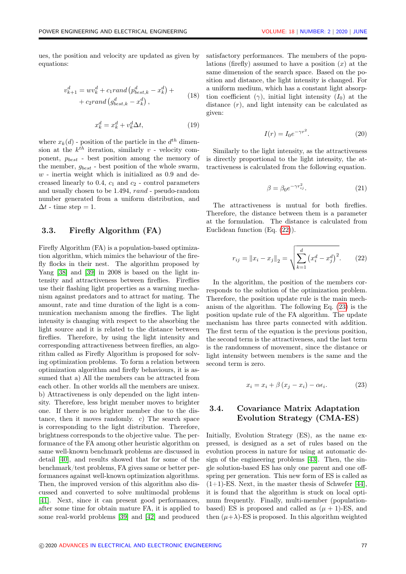ues, the position and velocity are updated as given by equations:

$$
v_{k+1}^d = w v_k^d + c_1 rand \left( p_{best,k}^d - x_k^d \right) + + c_2 rand \left( g_{best,k}^d - x_k^d \right),
$$
\n(18)

$$
x_k^d = x_k^d + v_k^d \Delta t,\tag{19}
$$

where  $x_k(d)$  - position of the particle in the  $d^{th}$  dimension at the  $k^{th}$  iteration, similarly v - velocity component,  $p_{best}$  - best position among the memory of the member,  $g_{best}$  - best position of the whole swarm,  $w$  - inertia weight which is initialized as  $0.9$  and decreased linearly to  $0.4$ ,  $c_1$  and  $c_2$  - control parameters and usually chosen to be 1.494, rand - pseudo-random number generated from a uniform distribution, and  $\Delta t$  - time step = 1.

#### 3.3. Firefly Algorithm (FA)

Firefly Algorithm (FA) is a population-based optimization algorithm, which mimics the behaviour of the firefly flocks in their nest. The algorithm proposed by Yang [\[38\]](#page-11-7) and [\[39\]](#page-11-8) in 2008 is based on the light intensity and attractiveness between fireflies. Fireflies use their flashing light properties as a warning mechanism against predators and to attract for mating. The amount, rate and time duration of the light is a communication mechanism among the fireflies. The light intensity is changing with respect to the absorbing the light source and it is related to the distance between fireflies. Therefore, by using the light intensity and corresponding attractiveness between fireflies, an algorithm called as Firefly Algorithm is proposed for solving optimization problems. To form a relation between optimization algorithm and firefly behaviours, it is assumed that a) All the members can be attracted from each other. In other worlds all the members are unisex. b) Attractiveness is only depended on the light intensity. Therefore, less bright member moves to brighter one. If there is no brighter member due to the distance, then it moves randomly. c) The search space is corresponding to the light distribution. Therefore, brightness corresponds to the objective value. The performance of the FA among other heuristic algorithm on same well-known benchmark problems are discussed in detail [\[40\]](#page-11-9), and results showed that for some of the benchmark/test problems, FA gives same or better performances against well-known optimization algorithms. Then, the improved version of this algorithm also discussed and converted to solve multimodal problems [\[41\]](#page-11-10). Next, since it can present good performances, after some time for obtain mature FA, it is applied to some real-world problems [\[39\]](#page-11-8) and [\[42\]](#page-11-11) and produced

satisfactory performances. The members of the populations (firefly) assumed to have a position  $(x)$  at the same dimension of the search space. Based on the position and distance, the light intensity is changed. For a uniform medium, which has a constant light absorption coefficient ( $\gamma$ ), initial light intensity ( $I_0$ ) at the distance  $(r)$ , and light intensity can be calculated as given:

$$
I(r) = I_0 e^{-\gamma r^2}.
$$
\n(20)

Similarly to the light intensity, as the attractiveness is directly proportional to the light intensity, the attractiveness is calculated from the following equation.

$$
\beta = \beta_0 e^{-\gamma r_{ij}^2}.\tag{21}
$$

The attractiveness is mutual for both fireflies. Therefore, the distance between them is a parameter at the formulation. The distance is calculated from Euclidean function (Eq. [\(22\)](#page-5-0)).

<span id="page-5-0"></span>
$$
r_{ij} = \|x_i - x_j\|_2 = \sqrt{\sum_{k=1}^d (x_i^d - x_j^d)^2}.
$$
 (22)

In the algorithm, the position of the members corresponds to the solution of the optimization problem. Therefore, the position update rule is the main mechanism of the algorithm. The following Eq. [\(23\)](#page-5-1) is the position update rule of the FA algorithm. The update mechanism has three parts connected with addition. The first term of the equation is the previous position, the second term is the attractiveness, and the last term is the randomness of movement, since the distance or light intensity between members is the same and the second term is zero.

<span id="page-5-1"></span>
$$
x_i = x_i + \beta (x_j - x_i) - \alpha \epsilon_i. \tag{23}
$$

### 3.4. Covariance Matrix Adaptation Evolution Strategy (CMA-ES)

Initially, Evolution Strategy (ES), as the name expressed, is designed as a set of rules based on the evolution process in nature for using at automatic design of the engineering problems [\[43\]](#page-11-12). Then, the single solution-based ES has only one parent and one offspring per generation. This new form of ES is called as  $(1+1)$ -ES. Next, in the master thesis of Schwefer [\[44\]](#page-11-13), it is found that the algorithm is stuck on local optimum frequently. Finally, multi-member (populationbased) ES is proposed and called as  $(\mu + 1)$ -ES, and then  $(\mu + \lambda)$ -ES is proposed. In this algorithm weighted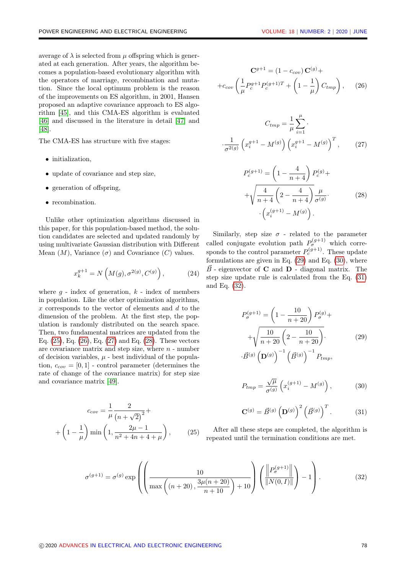average of  $\lambda$  is selected from  $\mu$  offspring which is generated at each generation. After years, the algorithm becomes a population-based evolutionary algorithm with the operators of marriage, recombination and mutation. Since the local optimum problem is the reason of the improvements on ES algorithm, in 2001, Hansen proposed an adaptive covariance approach to ES algorithm [\[45\]](#page-11-14), and this CMA-ES algorithm is evaluated [\[46\]](#page-11-15) and discussed in the literature in detail [\[47\]](#page-11-16) and [\[48\]](#page-11-17).

The CMA-ES has structure with five stages:

- initialization,
- update of covariance and step size,
- generation of offspring,
- recombination.

Unlike other optimization algorithms discussed in this paper, for this population-based method, the solution candidates are selected and updated randomly by using multivariate Gaussian distribution with Different Mean  $(M)$ , Variance  $(\sigma)$  and Covariance  $(C)$  values.

$$
x_k^{g+1} = N\left(M(g), \sigma^{2(g)}, C^{(g)}\right),\tag{24}
$$

where  $q$  - index of generation,  $k$  - index of members in population. Like the other optimization algorithms,  $x$  corresponds to the vector of elements and  $d$  to the dimension of the problem. At the first step, the population is randomly distributed on the search space. Then, two fundamental matrices are updated from the Eq. [\(25\)](#page-6-0), Eq. [\(26\)](#page-6-1), Eq. [\(27\)](#page-6-2) and Eq. [\(28\)](#page-6-3). These vectors are covariance matrix and step size, where  $n$  - number of decision variables,  $\mu$  - best individual of the population,  $c_{cov} = [0, 1]$  - control parameter (determines the rate of change of the covariance matrix) for step size and covariance matrix [\[49\]](#page-11-18).

$$
c_{cov} = \frac{1}{\mu} \frac{2}{(n + \sqrt{2})^2} + \frac{1}{\mu} \left(1 - \frac{1}{\mu}\right) \min\left(1, \frac{2\mu - 1}{n^2 + 4n + 4 + \mu}\right), \quad (25)
$$

$$
\mathbf{C}^{g+1} = (1 - c_{cov}) \mathbf{C}^{(g)} +
$$

$$
+ c_{cov} \left( \frac{1}{\mu} P_c^{g+1} P_c^{(g+1)T} + \left( 1 - \frac{1}{\mu} \right) C_{tmp} \right), \quad (26)
$$

<span id="page-6-1"></span>
$$
C_{tmp} = \frac{1}{\mu} \sum_{i=1}^{\mu} \cdot
$$

$$
\frac{1}{\sigma^{2(g)}} \left( x_i^{g+1} - M^{(g)} \right) \left( x_i^{g+1} - M^{(g)} \right)^T, \qquad (27)
$$

<span id="page-6-3"></span><span id="page-6-2"></span>
$$
P_c^{(g+1)} = \left(1 - \frac{4}{n+4}\right) P_c^{(g)} + \sqrt{\frac{4}{n+4} \left(2 - \frac{4}{n+4}\right)} \frac{\mu}{\sigma^{(g)}}.
$$
\n
$$
\left(x_i^{(g+1)} - M^{(g)}\right).
$$
\n(28)

Similarly, step size  $\sigma$  - related to the parameter called conjugate evolution path  $P_{\sigma}^{(g+1)}$  which corresponds to the control parameter  $P_c^{(g+1)}$ . These update formulations are given in Eq. [\(29\)](#page-6-4) and Eq. [\(30\)](#page-6-5), where  $\vec{B}$  - eigenvector of **C** and **D** - diagonal matrix. The step size update rule is calculated from the Eq. [\(31\)](#page-6-6) and Eq. [\(32\)](#page-6-7).

<span id="page-6-4"></span>
$$
P_{\sigma}^{(g+1)} = \left(1 - \frac{10}{n+20}\right) P_{\sigma}^{(g)} +
$$
  
+ 
$$
\sqrt{\frac{10}{n+20} \left(2 - \frac{10}{n+20}\right)}.
$$
 (29)  

$$
\overrightarrow{B}^{(g)} \left(\mathbf{D}^{(g)}\right)^{-1} \left(\overrightarrow{B}^{(g)}\right)^{-1} P_{tmp},
$$

<span id="page-6-5"></span>
$$
P_{tmp} = \frac{\sqrt{\mu}}{\sigma^{(g)}} \left( x_i^{(g+1)} - M^{(g)} \right),\tag{30}
$$

<span id="page-6-7"></span><span id="page-6-6"></span>
$$
\mathbf{C}^{(g)} = \vec{B}^{(g)} \left( \mathbf{D}^{(g)} \right)^2 \left( \vec{B}^{(g)} \right)^T. \tag{31}
$$

<span id="page-6-0"></span>After all these steps are completed, the algorithm is repeated until the termination conditions are met.

$$
\sigma^{(g+1)} = \sigma^{(g)} \exp\left(\left(\frac{10}{\max\left((n+20), \frac{3\mu(n+20)}{n+10}\right) + 10}\right) \left(\frac{\left\|P_{\sigma}^{(g+1)}\right\|}{\|N(0, I)\|}\right) - 1\right).
$$
(32)

·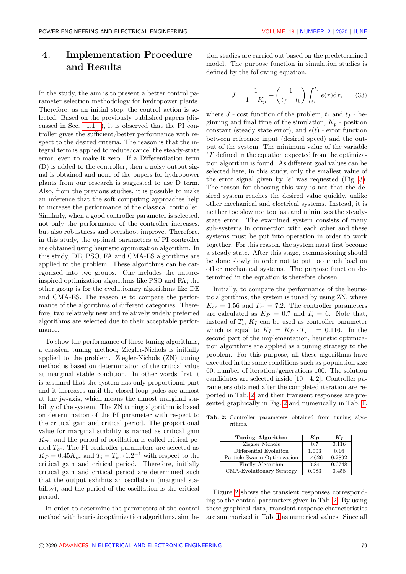## <span id="page-7-0"></span>4. Implementation Procedure and Results

In the study, the aim is to present a better control parameter selection methodology for hydropower plants. Therefore, as an initial step, the control action is selected. Based on the previously published papers (discussed in Sec. [1.1. \)](#page-1-0), it is observed that the PI controller gives the sufficient/better performance with respect to the desired criteria. The reason is that the integral term is applied to reduce/cancel the steady-state error, even to make it zero. If a Differentiation term (D) is added to the controller, then a noisy output signal is obtained and none of the papers for hydropower plants from our research is suggested to use D term. Also, from the previous studies, it is possible to make an inference that the soft computing approaches help to increase the performance of the classical controller. Similarly, when a good controller parameter is selected, not only the performance of the controller increases, but also robustness and overshoot improve. Therefore, in this study, the optimal parameters of PI controller are obtained using heuristic optimization algorithm. In this study, DE, PSO, FA and CMA-ES algorithms are applied to the problem. These algorithms can be categorized into two groups. One includes the natureinspired optimization algorithms like PSO and FA; the other group is for the evolutionary algorithms like DE and CMA-ES. The reason is to compare the performance of the algorithms of different categories. Therefore, two relatively new and relatively widely preferred algorithms are selected due to their acceptable performance.

To show the performance of these tuning algorithms, a classical tuning method; Ziegler-Nichols is initially applied to the problem. Ziegler-Nichols (ZN) tuning method is based on determination of the critical value at marginal stable condition. In other words first it is assumed that the system has only proportional part and it increases until the closed-loop poles are almost at the jw-axis, which means the almost marginal stability of the system. The ZN tuning algorithm is based on determination of the PI parameter with respect to the critical gain and critical period. The proportional value for marginal stability is named as critical gain  $K_{cr}$ , and the period of oscillation is called critical period  $T_{cr}$ . The PI controller parameters are selected as  $K_P = 0.45K_{cr}$  and  $T_i = T_{cr} \cdot 1.2^{-1}$  with respect to the critical gain and critical period. Therefore, initially critical gain and critical period are determined such that the output exhibits an oscillation (marginal stability), and the period of the oscillation is the critical period.

In order to determine the parameters of the control method with heuristic optimization algorithms, simulation studies are carried out based on the predetermined model. The purpose function in simulation studies is defined by the following equation.

$$
J = \frac{1}{1 + K_p} + \left(\frac{1}{t_f - t_b}\right) \int_{t_b}^{t_f} e(\tau) d\tau, \qquad (33)
$$

where  $J$  - cost function of the problem,  $t_b$  and  $t_f$  - beginning and final time of the simulation,  $K_p$  - position constant (steady state error), and  $e(t)$  - error function between reference input (desired speed) and the output of the system. The minimum value of the variable  $'J'$  defined in the equation expected from the optimization algorithm is found. As different goal values can be selected here, in this study, only the smallest value of the error signal given by 'e' was requested (Fig. [3\)](#page-8-0). The reason for choosing this way is not that the desired system reaches the desired value quickly, unlike other mechanical and electrical systems. Instead, it is neither too slow nor too fast and minimizes the steadystate error. The examined system consists of many sub-systems in connection with each other and these systems must be put into operation in order to work together. For this reason, the system must first become a steady state. After this stage, commissioning should be done slowly in order not to put too much load on other mechanical systems. The purpose function determined in the equation is therefore chosen.

Initially, to compare the performance of the heuristic algorithms, the system is tuned by using ZN, where  $K_{cr} = 1.56$  and  $T_{cr} = 7.2$ . The controller parameters are calculated as  $K_P = 0.7$  and  $T_i = 6$ . Note that, instead of  $T_i$ ,  $K_I$  can be used as controller parameter which is equal to  $K_I = K_P \cdot T_i^{-1} = 0.116$ . In the second part of the implementation, heuristic optimization algorithms are applied as a tuning strategy to the problem. For this purpose, all these algorithms have executed in the same conditions such as population size 60, number of iteration/generations 100. The solution candidates are selected inside [10−4, 2]. Controller parameters obtained after the completed iteration are reported in Tab. [2,](#page-7-1) and their transient responses are presented graphically in Fig. [2](#page-8-1) and numerically in Tab. [1.](#page-8-2)

| Tuning Algorithm            | $\bm{K}_{\bm{P}}$ | $K_I$  |
|-----------------------------|-------------------|--------|
| Ziegler Nichols             | 0.7               | 0.116  |
| Differential Evolution      | 1.003             | 0.16   |
| Particle Swarm Optimization | 1.4626            | 0.2892 |
| Firefly Algorithm           | 0.84              | 0.0748 |
| CMA-Evolutionary Strategy   | 0.983             | 0.458  |

<span id="page-7-1"></span>Tab. 2: Controller parameters obtained from tuning algorithms.

Figure [2](#page-8-1) shows the transient responses corresponding to the control parameters given in Tab. [2.](#page-7-1) By using these graphical data, transient response characteristics are summarized in Tab. [1](#page-8-2) as numerical values. Since all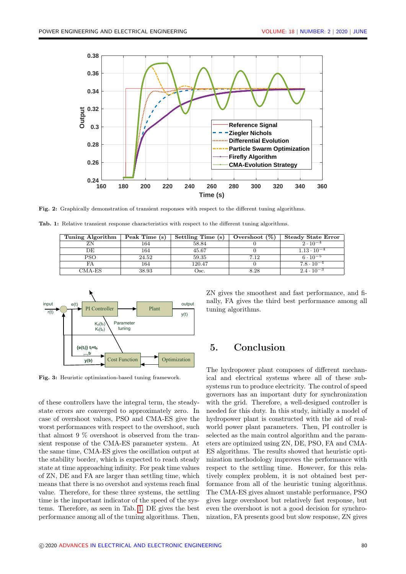<span id="page-8-1"></span>

Fig. 2: Graphically demonstration of transient responses with respect to the different tuning algorithms.

<span id="page-8-2"></span>Tab. 1: Relative transient response characteristics with respect to the different tuning algorithms.

| Tuning Algorithm | Peak Time (s) | Settling Time (s) | Overshoot $(\%)$ | <b>Steady State Error</b> |
|------------------|---------------|-------------------|------------------|---------------------------|
|                  | 164           | 58.84             |                  | $2 \cdot 10^{-4}$         |
| DE               | 164           | 45.67             |                  | $1.13 \cdot 10^{-4}$      |
| PSO              | 24.52         | 59.35             | 7.12             | $6 \cdot 10^{-5}$         |
|                  | 164           | 120.47            |                  | $7.8 \cdot 10^{-4}$       |
| $CMA-ES$         | 38.93         | Osc.              | 8.28             | $2.4 \cdot 10^{-3}$       |

<span id="page-8-0"></span>

Fig. 3: Heuristic optimization-based tuning framework.

of these controllers have the integral term, the steadystate errors are converged to approximately zero. In case of overshoot values, PSO and CMA-ES give the worst performances with respect to the overshoot, such that almost 9 % overshoot is observed from the transient response of the CMA-ES parameter system. At the same time, CMA-ES gives the oscillation output at the stability border, which is expected to reach steady state at time approaching infinity. For peak time values of ZN, DE and FA are larger than settling time, which means that there is no overshot and systems reach final value. Therefore, for these three systems, the settling time is the important indicator of the speed of the systems. Therefore, as seen in Tab. [1,](#page-8-2) DE gives the best performance among all of the tuning algorithms. Then,

ZN gives the smoothest and fast performance, and finally, FA gives the third best performance among all tuning algorithms.

## 5. Conclusion

The hydropower plant composes of different mechanical and electrical systems where all of these subsystems run to produce electricity. The control of speed governors has an important duty for synchronization with the grid. Therefore, a well-designed controller is needed for this duty. In this study, initially a model of hydropower plant is constructed with the aid of realworld power plant parameters. Then, PI controller is selected as the main control algorithm and the parameters are optimized using ZN, DE, PSO, FA and CMA-ES algorithms. The results showed that heuristic optimization methodology improves the performance with respect to the settling time. However, for this relatively complex problem, it is not obtained best performance from all of the heuristic tuning algorithms. The CMA-ES gives almost unstable performance, PSO gives large overshoot but relatively fast response, but even the overshoot is not a good decision for synchronization, FA presents good but slow response, ZN gives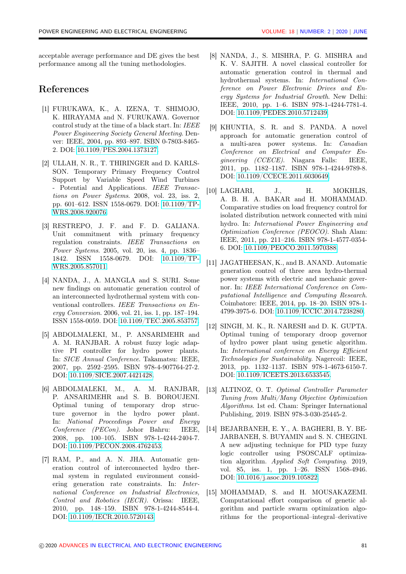acceptable average performance and DE gives the best performance among all the tuning methodologies.

## References

- <span id="page-9-0"></span>[1] FURUKAWA, K., A. IZENA, T. SHIMOJO, K. HIRAYAMA and N. FURUKAWA. Governor control study at the time of a black start. In: IEEE Power Engineering Society General Meeting. Denver: IEEE, 2004, pp. 893–897. ISBN 0-7803-8465- 2. DOI: [10.1109/PES.2004.1373127.](http://dx.doi.org/10.1109/PES.2004.1373127)
- <span id="page-9-1"></span>[2] ULLAH, N. R., T. THIRINGER and D. KARLS-SON. Temporary Primary Frequency Control Support by Variable Speed Wind Turbines - Potential and Applications. IEEE Transactions on Power Systems. 2008, vol. 23, iss. 2, pp. 601–612. ISSN 1558-0679. DOI: [10.1109/TP-](http://dx.doi.org/10.1109/TPWRS.2008.920076)[WRS.2008.920076.](http://dx.doi.org/10.1109/TPWRS.2008.920076)
- <span id="page-9-2"></span>[3] RESTREPO, J. F. and F. D. GALIANA. Unit commitment with primary frequency regulation constraints. IEEE Transactions on Power Systems. 2005, vol. 20, iss. 4, pp. 1836– 1842. ISSN 1558-0679. DOI: [10.1109/TP-](http://dx.doi.org/10.1109/TPWRS.2005.857011)[WRS.2005.857011.](http://dx.doi.org/10.1109/TPWRS.2005.857011)
- <span id="page-9-3"></span>[4] NANDA, J., A. MANGLA and S. SURI. Some new findings on automatic generation control of an interconnected hydrothermal system with conventional controllers. IEEE Transactions on Energy Conversion. 2006, vol. 21, iss. 1, pp. 187–194. ISSN 1558-0059. DOI: [10.1109/TEC.2005.853757.](http://dx.doi.org/10.1109/TEC.2005.853757)
- <span id="page-9-4"></span>[5] ABDOLMALEKI, M., P. ANSARIMEHR and A. M. RANJBAR. A robust fuzzy logic adaptive PI controller for hydro power plants. In: SICE Annual Conference. Takamatsu: IEEE, 2007, pp. 2592–2595. ISBN 978-4-907764-27-2. DOI: [10.1109/SICE.2007.4421428.](http://dx.doi.org/10.1109/SICE.2007.4421428)
- <span id="page-9-5"></span>[6] ABDOLMALEKI, M., A. M. RANJBAR, P. ANSARIMEHR and S. B. BOROUJENI. Optimal tuning of temporary drop structure governor in the hydro power plant. In: National Proceedings Power and Energy Conference (PECon). Johor Bahru: IEEE, 2008, pp. 100–105. ISBN 978-1-4244-2404-7. DOI: [10.1109/PECON.2008.4762453.](http://dx.doi.org/10.1109/PECON.2008.4762453)
- <span id="page-9-6"></span>[7] RAM, P., and A. N. JHA. Automatic generation control of interconnected hydro thermal system in regulated environment considering generation rate constraints. In: International Conference on Industrial Electronics, Control and Robotics (IECR). Orissa: IEEE, 2010, pp. 148–159. ISBN 978-1-4244-8544-4. DOI: [10.1109/IECR.2010.5720143.](http://dx.doi.org/10.1109/IECR.2010.5720143)
- <span id="page-9-7"></span>[8] NANDA, J., S. MISHRA, P. G. MISHRA and K. V. SAJITH. A novel classical controller for automatic generation control in thermal and hydrothermal systems. In: International Conference on Power Electronic Drives and Energy Systems for Industrial Growth. New Delhi: IEEE, 2010, pp. 1–6. ISBN 978-1-4244-7781-4. DOI: [10.1109/PEDES.2010.5712439.](http://dx.doi.org/10.1109/PEDES.2010.5712439)
- <span id="page-9-8"></span>[9] KHUNTIA, S. R. and S. PANDA. A novel approach for automatic generation control of a multi-area power systems. In: Canadian Conference on Electrical and Computer Engineering (CCECE). Niagara Falls: IEEE, 2011, pp. 1182–1187. ISBN 978-1-4244-9789-8. DOI: [10.1109/CCECE.2011.6030649.](http://dx.doi.org/10.1109/CCECE.2011.6030649)
- <span id="page-9-9"></span>[10] LAGHARI, J., H. MOKHLIS, A. B. H. A. BAKAR and H. MOHAMMAD. Comparative studies on load frequency control for isolated distribution network connected with mini hydro. In: International Power Engineering and Optimization Conference (PEOCO). Shah Alam: IEEE, 2011, pp. 211–216. ISBN 978-1-4577-0354- 6. DOI: [10.1109/PEOCO.2011.5970388.](http://dx.doi.org/10.1109/PEOCO.2011.5970388)
- <span id="page-9-10"></span>[11] JAGATHEESAN, K., and B. ANAND. Automatic generation control of three area hydro-thermal power systems with electric and mechanic governor. In: IEEE International Conference on Computational Intelligence and Computing Research. Coimbatore: IEEE, 2014, pp. 18–20. ISBN 978-1- 4799-3975-6. DOI: [10.1109/ICCIC.2014.7238280.](http://dx.doi.org/10.1109/ICCIC.2014.7238280)
- <span id="page-9-11"></span>[12] SINGH, M. K., R. NARESH and D. K. GUPTA. Optimal tuning of temporary droop governor of hydro power plant using genetic algorithm. In: International conference on Energy Efficient Technologies for Sustainability. Nagercoil: IEEE, 2013, pp. 1132–1137. ISBN 978-1-4673-6150-7. DOI: [10.1109/ICEETS.2013.6533545.](http://dx.doi.org/10.1109/ICEETS.2013.6533545)
- <span id="page-9-12"></span>[13] ALTINOZ, O. T. Optimal Controller Parameter Tuning from Multi/Many Objective Optimization Algorithms. 1st ed. Cham: Springer International Publishing, 2019. ISBN 978-3-030-25445-2.
- <span id="page-9-13"></span>[14] BEJARBANEH, E. Y., A. BAGHERI, B. Y. BE-JARBANEH, S. BUYAMIN and S. N. CHEGINI. A new adjusting technique for PID type fuzzy logic controller using PSOSCALF optimization algorithm. Applied Soft Computing. 2019, vol. 85, iss. 1, pp. 1–26. ISSN 1568-4946. DOI: [10.1016/j.asoc.2019.105822.](http://dx.doi.org/10.1016/j.asoc.2019.105822)
- <span id="page-9-14"></span>[15] MOHAMMAD, S. and H. MOUSAKAZEMI. Computational effort comparison of genetic algorithm and particle swarm optimization algorithms for the proportional–integral–derivative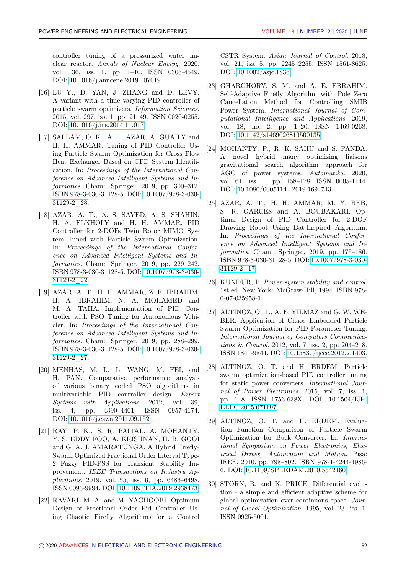controller tuning of a pressurized water nuclear reactor. Annals of Nuclear Energy. 2020, vol. 136, iss. 1, pp. 1–10. ISSN 0306-4549. DOI: [10.1016/j.anucene.2019.107019.](http://dx.doi.org/10.1016/j.anucene.2019.107019)

- <span id="page-10-0"></span>[16] LU Y., D. YAN, J. ZHANG and D. LEVY. A variant with a time varying PID controller of particle swarm optimizers. Information Sciences. 2015, vol. 297, iss. 1, pp. 21–49. ISSN 0020-0255. DOI: [10.1016/j.ins.2014.11.017.](http://dx.doi.org/10.1016/j.ins.2014.11.017)
- <span id="page-10-1"></span>[17] SALLAM, O. K., A. T. AZAR, A. GUAILY and H. H. AMMAR. Tuning of PID Controller Using Particle Swarm Optimization for Cross Flow Heat Exchanger Based on CFD System Identification. In: Proceedings of the International Conference on Advanced Intelligent Systems and Informatics. Cham: Springer, 2019, pp. 300-312. ISBN 978-3-030-31128-5. DOI: [10.1007/978-3-030-](https://doi.org/10.1007/978-3-030-31129-2_28) [31129-2\\_28.](https://doi.org/10.1007/978-3-030-31129-2_28)
- <span id="page-10-2"></span>[18] AZAR, A. T., A. S. SAYED, A. S. SHAHIN, H. A. ELKHOLY and H. H. AMMAR. PID Controller for 2-DOFs Twin Rotor MIMO System Tuned with Particle Swarm Optimization. In: Proceedings of the International Conference on Advanced Intelligent Systems and Informatics. Cham: Springer, 2019, pp. 229–242. ISBN 978-3-030-31128-5. DOI: [10.1007/978-3-030-](http://dx.doi.org/10.1007/978-3-030-31129-2_22) [31129-2\\_22.](http://dx.doi.org/10.1007/978-3-030-31129-2_22)
- <span id="page-10-3"></span>[19] AZAR, A. T., H. H. AMMAR, Z. F. IBRAHIM, H. A. IBRAHIM, N. A. MOHAMED and M. A. TAHA. Implementation of PID Controller with PSO Tuning for Autonomous Vehicler. In: Proceedings of the International Conference on Advanced Intelligent Systems and Informatics. Cham: Springer, 2019, pp. 288-299. ISBN 978-3-030-31128-5. DOI: [10.1007/978-3-030-](http://dx.doi.org/10.1007/978-3-030-31129-2_27) [31129-2\\_27.](http://dx.doi.org/10.1007/978-3-030-31129-2_27)
- <span id="page-10-4"></span>[20] MENHAS, M. I., L. WANG, M. FEI, and H. PAN. Comparative performance analysis of various binary coded PSO algorithms in multivariable PID controller design. Expert Systems with Applications. 2012, vol. 39, iss. 4, pp. 4390–4401. ISSN 0957-4174. DOI: [10.1016/j.eswa.2011.09.152.](http://dx.doi.org/10.1016/j.eswa.2011.09.152)
- <span id="page-10-5"></span>[21] RAY, P. K., S. R. PAITAL, A. MOHANTY, Y. S. EDDY FOO, A. KRISHNAN, H. B. GOOI and G. A. J. AMARATUNGA. A Hybrid Firefly-Swarm Optimized Fractional Order Interval Type-2 Fuzzy PID-PSS for Transient Stability Improvement. IEEE Transactions on Industry Applications. 2019, vol. 55, iss. 6, pp. 6486–6498. ISSN 0093-9994. DOI: [10.1109/TIA.2019.2938473.](http://dx.doi.org/10.1109/TIA.2019.2938473)
- <span id="page-10-6"></span>[22] RAVARI, M. A. and M. YAGHOOBI. Optimum Design of Fractional Order Pid Controller Using Chaotic Firefly Algorithms for a Control

CSTR System. Asian Journal of Control. 2018, vol. 21, iss. 5, pp. 2245–2255. ISSN 1561-8625. DOI: [10.1002/asjc.1836.](http://dx.doi.org/10.1002/asjc.1836)

- <span id="page-10-7"></span>[23] GHARGHORY, S. M. and A. E. EBRAHIM. Self-Adaptive Firefly Algorithm with Pole Zero Cancellation Method for Controlling SMIB Power System. International Journal of Computational Intelligence and Applications. 2019, vol. 18, no. 2, pp. 1–20. ISSN 1469-0268. DOI: [10.1142/s1469026819500135.](http://dx.doi.org/10.1142/s1469026819500135)
- <span id="page-10-8"></span>[24] MOHANTY, P., R. K. SAHU and S. PANDA. A novel hybrid many optimizing liaisons gravitational search algorithm approach for AGC of power systems. Automatika. 2020, vol. 61, iss. 1, pp. 158–178. ISSN 0005-1144. DOI: [10.1080/00051144.2019.1694743.](http://dx.doi.org/10.1080/00051144.2019.1694743)
- <span id="page-10-9"></span>[25] AZAR, A. T., H. H. AMMAR, M. Y. BEB, S. R. GARCES and A. BOUBAKARI. Optimal Design of PID Controller for 2-DOF Drawing Robot Using Bat-Inspired Algorithm. In: Proceedings of the International Conference on Advanced Intelligent Systems and Informatics. Cham: Springer, 2019, pp. 175–186. ISBN 978-3-030-31128-5. DOI: [10.1007/978-3-030-](http://dx.doi.org/10.1007/978-3-030-31129-2_17) [31129-2\\_17.](http://dx.doi.org/10.1007/978-3-030-31129-2_17)
- <span id="page-10-10"></span>[26] KUNDUR, P. Power system stability and control. 1st ed. New York: McGraw-Hill, 1994. ISBN 978- 0-07-035958-1.
- <span id="page-10-11"></span>[27] ALTINOZ, O. T., A. E. YILMAZ and G. W. WE-BER. Application of Chaos Embedded Particle Swarm Optimization for PID Parameter Tuning. International Journal of Computers Communications & Control. 2012, vol. 7, iss. 2, pp. 204–218. ISSN 1841-9844. DOI: [10.15837/ijccc.2012.2.1403.](http://dx.doi.org/10.15837/ijccc.2012.2.1403)
- <span id="page-10-12"></span>[28] ALTINOZ, O. T. and H. ERDEM. Particle swarm optimization-based PID controller tuning for static power converters. International Journal of Power Electronics. 2015, vol. 7, iss. 1, pp. 1–8. ISSN 1756-638X. DOI: [10.1504/IJP-](http://dx.doi.org/10.1504/IJPELEC.2015.071197)[ELEC.2015.071197.](http://dx.doi.org/10.1504/IJPELEC.2015.071197)
- <span id="page-10-13"></span>[29] ALTINOZ, O. T. and H. ERDEM. Evaluation Function Comparison of Particle Swarm Optimization for Buck Converter. In: International Symposium on Power Electronics, Electrical Drives, Automation and Motion. Pisa: IEEE, 2010, pp. 798–802. ISBN 978-1-4244-4986- 6. DOI: [10.1109/SPEEDAM.2010.5542160.](http://dx.doi.org/10.1109/SPEEDAM.2010.5542160)
- <span id="page-10-14"></span>[30] STORN, R. and K. PRICE. Differential evolution - a simple and efficient adaptive scheme for global optimization over continuous space. Journal of Global Optimization. 1995, vol. 23, iss. 1. ISSN 0925-5001.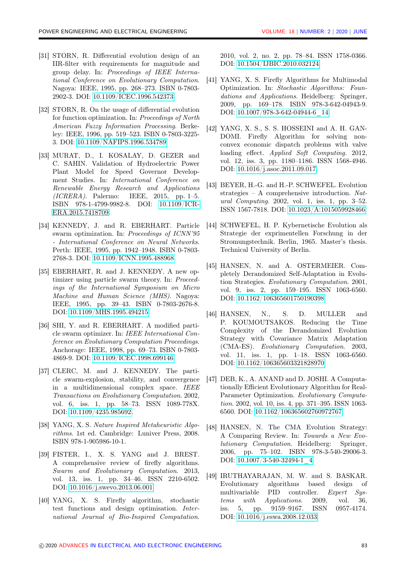- <span id="page-11-1"></span>[31] STORN, R. Differential evolution design of an IIR-filter with requirements for magnitude and group delay. In: Proceedings of IEEE International Conference on Evolutionary Computation. Nagoya: IEEE, 1995, pp. 268–273. ISBN 0-7803- 2902-3. DOI: [10.1109/ICEC.1996.542373.](http://dx.doi.org/10.1109/ICEC.1996.542373)
- <span id="page-11-2"></span>[32] STORN, R. On the usage of differential evolution for function optimization. In: Proceedings of North American Fuzzy Information Processing. Berkeley: IEEE, 1996, pp. 519–523. ISBN 0-7803-3225- 3. DOI: [10.1109/NAFIPS.1996.534789.](http://dx.doi.org/10.1109/NAFIPS.1996.534789)
- <span id="page-11-0"></span>[33] MURAT, D., I. KOSALAY, D. GEZER and C. SAHIN. Validation of Hydroelectric Power Plant Model for Speed Governor Development Studies. In: International Conference on Renewable Energy Research and Applications  $(ICRERA)$ . Palermo: IEEE, 2015, pp. 1–5. ISBN 978-1-4799-9982-8. DOI: [10.1109/ICR-](http://dx.doi.org/10.1109/ICRERA.2015.7418709)[ERA.2015.7418709.](http://dx.doi.org/10.1109/ICRERA.2015.7418709)
- <span id="page-11-3"></span>[34] KENNEDY, J. and R. EBERHART. Particle swarm optimization. In: Proceedings of ICNN'95 - International Conference on Neural Networks. Perth: IEEE, 1995, pp. 1942–1948. ISBN 0-7803- 2768-3. DOI: [10.1109/ICNN.1995.488968.](http://dx.doi.org/10.1109/ICNN.1995.488968)
- <span id="page-11-4"></span>[35] EBERHART, R. and J. KENNEDY. A new optimizer using particle swarm theory. In: Proceedings of the International Symposium on Micro Machine and Human Science (MHS). Nagoya: IEEE, 1995, pp. 39–43. ISBN 0-7803-2676-8. DOI: [10.1109/MHS.1995.494215.](http://dx.doi.org/10.1109/MHS.1995.494215)
- <span id="page-11-5"></span>[36] SHI, Y. and R. EBERHART. A modified particle swarm optimizer. In: IEEE International Conference on Evolutionary Computation Proceedings. Anchorage: IEEE, 1998, pp. 69–73. ISBN 0-7803- 4869-9. DOI: [10.1109/ICEC.1998.699146.](http://dx.doi.org/10.1109/ICEC.1998.699146)
- <span id="page-11-6"></span>[37] CLERC, M. and J. KENNEDY. The particle swarm-explosion, stability, and convergence in a multidimensional complex space. IEEE Transactions on Evolutionary Computation. 2002, vol. 6, iss. 1, pp. 58–73. ISSN 1089-778X. DOI: [10.1109/4235.985692.](http://dx.doi.org/10.1109/4235.985692)
- <span id="page-11-7"></span>[38] YANG, X. S. Nature Inspired Metaheuristic Algorithms. 1st ed. Cambridge: Luniver Press, 2008. ISBN 978-1-905986-10-1.
- <span id="page-11-8"></span>[39] FISTER, I., X. S. YANG and J. BREST. A comprehensive review of firefly algorithms. Swarm and Evolutionary Computation. 2013, vol. 13, iss. 1, pp. 34–46. ISSN 2210-6502. DOI: [10.1016/j.swevo.2013.06.001.](http://dx.doi.org/10.1016/j.swevo.2013.06.001)
- <span id="page-11-9"></span>[40] YANG, X. S. Firefly algorithm, stochastic test functions and design optimisation. International Journal of Bio-Inspired Computation.

2010, vol. 2, no. 2, pp. 78–84. ISSN 1758-0366. DOI: [10.1504/IJBIC.2010.032124.](http://dx.doi.org/10.1504/IJBIC.2010.032124)

- <span id="page-11-10"></span>[41] YANG, X. S. Firefly Algorithms for Multimodal Optimization. In: Stochastic Algorithms: Foundations and Applications. Heidelberg: Springer, 2009, pp. 169–178. ISBN 978-3-642-04943-9. DOI: [10.1007/978-3-642-04944-6\\_14.](http://dx.doi.org/10.1007/978-3-642-04944-6_14)
- <span id="page-11-11"></span>[42] YANG, X. S., S. S. HOSSEINI and A. H. GAN-DOMI. Firefly Algorithm for solving nonconvex economic dispatch problems with valve loading effect. Applied Soft Computing. 2012, vol. 12, iss. 3, pp. 1180–1186. ISSN 1568-4946. DOI: [10.1016/j.asoc.2011.09.017.](http://dx.doi.org/10.1016/j.asoc.2011.09.017)
- <span id="page-11-12"></span>[43] BEYER, H.-G. and H.-P. SCHWEFEL. Evolution strategies – A comprehensive introduction. Natural Computing. 2002, vol. 1, iss. 1, pp. 3–52. ISSN 1567-7818. DOI: [10.1023/A:1015059928466.](http://dx.doi.org/10.1023/A:1015059928466)
- <span id="page-11-13"></span>[44] SCHWEFEL, H. P. Kybernetische Evolution als Strategie der exprimentellen Forschung in der Stromungstechnik. Berlin, 1965. Master's thesis. Technical University of Berlin.
- <span id="page-11-14"></span>[45] HANSEN, N. and A. OSTERMEIER. Completely Derandomized Self-Adaptation in Evolution Strategies. Evolutionary Computation. 2001, vol. 9, iss. 2, pp. 159–195. ISSN 1063-6560. DOI: [10.1162/106365601750190398.](http://dx.doi.org/10.1162/106365601750190398)
- <span id="page-11-15"></span>[46] HANSEN, N., S. D. MULLER and P. KOUMOUTSAKOS. Reducing the Time Complexity of the Derandomized Evolution Strategy with Covariance Matrix Adaptation (CMA-ES). Evolutionary Computation. 2003, vol. 11, iss. 1, pp. 1–18. ISSN 1063-6560. DOI: [10.1162/106365603321828970.](http://dx.doi.org/10.1162/106365603321828970)
- <span id="page-11-16"></span>[47] DEB, K., A. ANAND and D. JOSHI. A Computationally Efficient Evolutionary Algorithm for Real-Parameter Optimization. Evolutionary Computation. 2002, vol. 10, iss. 4, pp. 371–395. ISSN 1063- 6560. DOI: [10.1162/106365602760972767.](http://dx.doi.org/10.1162/106365602760972767)
- <span id="page-11-17"></span>[48] HANSEN, N. The CMA Evolution Strategy: A Comparing Review. In: Towards a New Evolutionary Computation. Heidelberg: Springer, 2006, pp. 75–102. ISBN 978-3-540-29006-3. DOI: [10.1007/3-540-32494-1\\_4.](http://dx.doi.org/10.1007/3-540-32494-1_4)
- <span id="page-11-18"></span>[49] IRUTHAYARAJAN, M. W. and S. BASKAR. Evolutionary algorithms based design of multivariable PID controller. Expert Systems with Applications. 2009, vol. 36, iss. 5, pp. 9159–9167. ISSN 0957-4174. DOI: [10.1016/j.eswa.2008.12.033.](http://dx.doi.org/10.1016/j.eswa.2008.12.033)